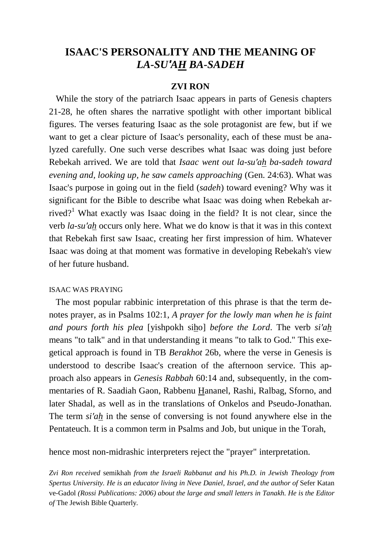# **ISAAC'S PERSONALITY AND THE MEANING OF**  *LA-SU′AH BA-SADEH*

## **ZVI RON**

 While the story of the patriarch Isaac appears in parts of Genesis chapters 21-28, he often shares the narrative spotlight with other important biblical figures. The verses featuring Isaac as the sole protagonist are few, but if we want to get a clear picture of Isaac's personality, each of these must be analyzed carefully. One such verse describes what Isaac was doing just before Rebekah arrived. We are told that *Isaac went out la-su′ah ba-sadeh toward evening and, looking up, he saw camels approaching* (Gen. 24:63). What was Isaac's purpose in going out in the field (*sadeh*) toward evening? Why was it significant for the Bible to describe what Isaac was doing when Rebekah arrived?<sup>1</sup> What exactly was Isaac doing in the field? It is not clear, since the verb *la-su′ah* occurs only here. What we do know is that it was in this context that Rebekah first saw Isaac, creating her first impression of him. Whatever Isaac was doing at that moment was formative in developing Rebekah's view of her future husband.

## ISAAC WAS PRAYING

 The most popular rabbinic interpretation of this phrase is that the term denotes prayer, as in Psalms 102:1, *A prayer for the lowly man when he is faint and pours forth his plea* [yishpokh siho] *before the Lord*. The verb *si′ah* means "to talk" and in that understanding it means "to talk to God." This exegetical approach is found in TB *Berakhot* 26b, where the verse in Genesis is understood to describe Isaac's creation of the afternoon service. This approach also appears in *Genesis Rabbah* 60:14 and, subsequently, in the commentaries of R. Saadiah Gaon, Rabbenu Hananel, Rashi, Ralbag, Sforno, and later Shadal, as well as in the translations of Onkelos and Pseudo-Jonathan. The term *si′ah* in the sense of conversing is not found anywhere else in the Pentateuch. It is a common term in Psalms and Job, but unique in the Torah,

hence most non-midrashic interpreters reject the "prayer" interpretation.

*Zvi Ron received* semikhah *from the Israeli Rabbanut and his Ph.D. in Jewish Theology from Spertus University. He is an educator living in Neve Daniel, Israel, and the author of* Sefer Katan ve-Gadol *(Rossi Publications: 2006) about the large and small letters in Tanakh. He is the Editor of* The Jewish Bible Quarterly*.*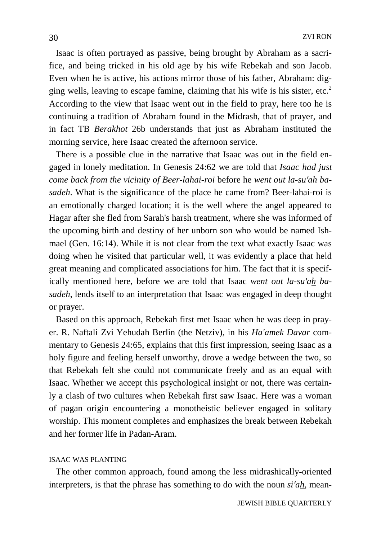Isaac is often portrayed as passive, being brought by Abraham as a sacrifice, and being tricked in his old age by his wife Rebekah and son Jacob. Even when he is active, his actions mirror those of his father, Abraham: digging wells, leaving to escape famine, claiming that his wife is his sister, etc.<sup>2</sup> According to the view that Isaac went out in the field to pray, here too he is continuing a tradition of Abraham found in the Midrash, that of prayer, and in fact TB *Berakhot* 26b understands that just as Abraham instituted the morning service, here Isaac created the afternoon service.

 There is a possible clue in the narrative that Isaac was out in the field engaged in lonely meditation. In Genesis 24:62 we are told that *Isaac had just come back from the vicinity of Beer-lahai-roi* before he *went out la-su′ah basadeh*. What is the significance of the place he came from? Beer-lahai-roi is an emotionally charged location; it is the well where the angel appeared to Hagar after she fled from Sarah's harsh treatment, where she was informed of the upcoming birth and destiny of her unborn son who would be named Ishmael (Gen. 16:14). While it is not clear from the text what exactly Isaac was doing when he visited that particular well, it was evidently a place that held great meaning and complicated associations for him. The fact that it is specifically mentioned here, before we are told that Isaac *went out la-su′ah basadeh*, lends itself to an interpretation that Isaac was engaged in deep thought or prayer.

 Based on this approach, Rebekah first met Isaac when he was deep in prayer. R. Naftali Zvi Yehudah Berlin (the Netziv), in his *Ha'amek Davar* commentary to Genesis 24:65, explains that this first impression, seeing Isaac as a holy figure and feeling herself unworthy, drove a wedge between the two, so that Rebekah felt she could not communicate freely and as an equal with Isaac. Whether we accept this psychological insight or not, there was certainly a clash of two cultures when Rebekah first saw Isaac. Here was a woman of pagan origin encountering a monotheistic believer engaged in solitary worship. This moment completes and emphasizes the break between Rebekah and her former life in Padan-Aram.

## ISAAC WAS PLANTING

 The other common approach, found among the less midrashically-oriented interpreters, is that the phrase has something to do with the noun *si′ah*, mean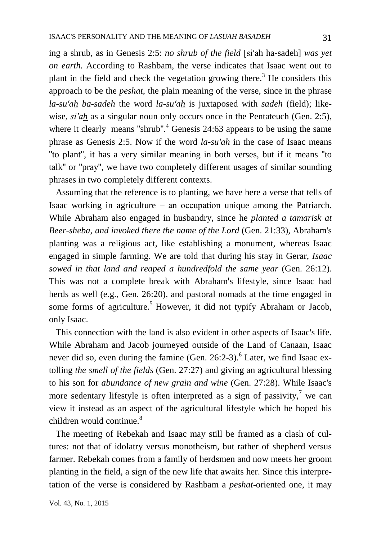ing a shrub, as in Genesis 2:5: *no shrub of the field* [si′ah ha-sadeh] *was yet on earth.* According to Rashbam, the verse indicates that Isaac went out to plant in the field and check the vegetation growing there.<sup>3</sup> He considers this approach to be the *peshat*, the plain meaning of the verse, since in the phrase *la-su′ah ba-sadeh* the word *la-su′ah* is juxtaposed with *sadeh* (field); likewise, *si'ah* as a singular noun only occurs once in the Pentateuch (Gen. 2:5), where it clearly means "shrub".<sup>4</sup> Genesis 24:63 appears to be using the same phrase as Genesis 2:5. Now if the word *la-su′ah* in the case of Isaac means "to plant", it has a very similar meaning in both verses, but if it means "to talk" or "pray", we have two completely different usages of similar sounding phrases in two completely different contexts.

 Assuming that the reference is to planting, we have here a verse that tells of Isaac working in agriculture  $-$  an occupation unique among the Patriarch. While Abraham also engaged in husbandry, since he *planted a tamarisk at Beer-sheba, and invoked there the name of the Lord* (Gen. 21:33), Abraham's planting was a religious act, like establishing a monument, whereas Isaac engaged in simple farming. We are told that during his stay in Gerar, *Isaac sowed in that land and reaped a hundredfold the same year* (Gen. 26:12). This was not a complete break with Abraham's lifestyle, since Isaac had herds as well (e.g., Gen. 26:20), and pastoral nomads at the time engaged in some forms of agriculture.<sup>5</sup> However, it did not typify Abraham or Jacob, only Isaac.

 This connection with the land is also evident in other aspects of Isaac's life. While Abraham and Jacob journeyed outside of the Land of Canaan, Isaac never did so, even during the famine (Gen. 26:2-3).<sup>6</sup> Later, we find Isaac extolling *the smell of the fields* (Gen. 27:27) and giving an agricultural blessing to his son for *abundance of new grain and wine* (Gen. 27:28). While Isaac's more sedentary lifestyle is often interpreted as a sign of passivity,<sup>7</sup> we can view it instead as an aspect of the agricultural lifestyle which he hoped his children would continue.<sup>8</sup>

 The meeting of Rebekah and Isaac may still be framed as a clash of cultures: not that of idolatry versus monotheism, but rather of shepherd versus farmer. Rebekah comes from a family of herdsmen and now meets her groom planting in the field, a sign of the new life that awaits her. Since this interpretation of the verse is considered by Rashbam a *peshat*-oriented one, it may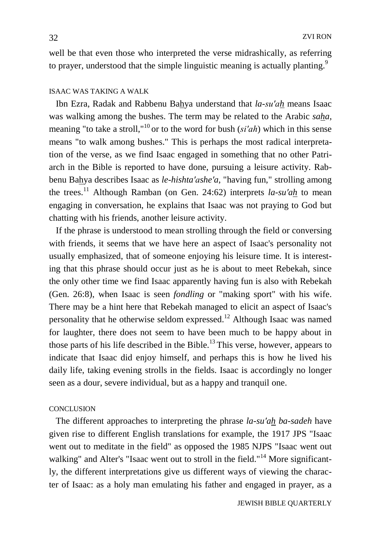well be that even those who interpreted the verse midrashically, as referring to prayer, understood that the simple linguistic meaning is actually planting.<sup>9</sup>

## ISAAC WAS TAKING A WALK

 Ibn Ezra, Radak and Rabbenu Bahya understand that *la-su′ah* means Isaac was walking among the bushes. The term may be related to the Arabic *saha*, meaning "to take a stroll," <sup>10</sup> or to the word for bush (*si′ah*) which in this sense means "to walk among bushes." This is perhaps the most radical interpretation of the verse, as we find Isaac engaged in something that no other Patriarch in the Bible is reported to have done, pursuing a leisure activity. Rabbenu Bahya describes Isaac as *le-hishta′ashe′a*, "having fun," strolling among the trees.<sup>11</sup> Although Ramban (on Gen. 24:62) interprets *la-su′ah* to mean engaging in conversation, he explains that Isaac was not praying to God but chatting with his friends, another leisure activity.

 If the phrase is understood to mean strolling through the field or conversing with friends, it seems that we have here an aspect of Isaac's personality not usually emphasized, that of someone enjoying his leisure time. It is interesting that this phrase should occur just as he is about to meet Rebekah, since the only other time we find Isaac apparently having fun is also with Rebekah (Gen. 26:8), when Isaac is seen *fondling* or "making sport" with his wife. There may be a hint here that Rebekah managed to elicit an aspect of Isaac's personality that he otherwise seldom expressed.<sup>12</sup> Although Isaac was named for laughter, there does not seem to have been much to be happy about in those parts of his life described in the Bible.<sup>13</sup> This verse, however, appears to indicate that Isaac did enjoy himself, and perhaps this is how he lived his daily life, taking evening strolls in the fields. Isaac is accordingly no longer seen as a dour, severe individual, but as a happy and tranquil one.

## **CONCLUSION**

 The different approaches to interpreting the phrase *la-su′ah ba-sadeh* have given rise to different English translations for example, the 1917 JPS "Isaac went out to meditate in the field" as opposed the 1985 NJPS "Isaac went out walking" and Alter's "Isaac went out to stroll in the field."<sup>14</sup> More significantly, the different interpretations give us different ways of viewing the character of Isaac: as a holy man emulating his father and engaged in prayer, as a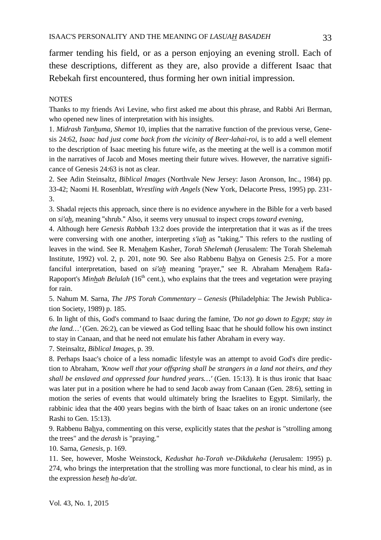farmer tending his field, or as a person enjoying an evening stroll. Each of these descriptions, different as they are, also provide a different Isaac that Rebekah first encountered, thus forming her own initial impression.

#### **NOTES**

Thanks to my friends Avi Levine, who first asked me about this phrase, and Rabbi Ari Berman, who opened new lines of interpretation with his insights.

1. *Midrash Tanhuma*, *Shemot* 10, implies that the narrative function of the previous verse, Genesis 24:62, *Isaac had just come back from the vicinity of Beer-lahai-roi*, is to add a well element to the description of Isaac meeting his future wife, as the meeting at the well is a common motif in the narratives of Jacob and Moses meeting their future wives. However, the narrative significance of Genesis 24:63 is not as clear.

2. See Adin Steinsaltz, *Biblical Images* (Northvale New Jersey: Jason Aronson, Inc., 1984) pp. 33-42; Naomi H. Rosenblatt, *Wrestling with Angels* (New York, Delacorte Press, 1995) pp. 231- 3.

3. Shadal rejects this approach, since there is no evidence anywhere in the Bible for a verb based on *si′ah*, meaning "shrub." Also, it seems very unusual to inspect crops *toward evening*,

4. Although here *Genesis Rabbah* 13:2 does provide the interpretation that it was as if the trees were conversing with one another, interpreting *s′iah* as "taking." This refers to the rustling of leaves in the wind. See R. Menahem Kasher, *Torah Shelemah* (Jerusalem: The Torah Shelemah Institute, 1992) vol. 2, p. 201, note 90. See also Rabbenu Bahya on Genesis 2:5. For a more fanciful interpretation, based on *si′ah* meaning "prayer," see R. Abraham Menahem Rafa-Rapoport's *Minhah Belulah* (16<sup>th</sup> cent.), who explains that the trees and vegetation were praying for rain.

5. Nahum M. Sarna, *The JPS Torah Commentary – Genesis* (Philadelphia: The Jewish Publication Society, 1989) p. 185.

6. In light of this, God's command to Isaac during the famine, *′Do not go down to Egypt; stay in the land…′* (Gen. 26:2), can be viewed as God telling Isaac that he should follow his own instinct to stay in Canaan, and that he need not emulate his father Abraham in every way.

7. Steinsaltz, *Biblical Images*, p. 39.

8. Perhaps Isaac's choice of a less nomadic lifestyle was an attempt to avoid God's dire prediction to Abraham, *′Know well that your offspring shall be strangers in a land not theirs, and they shall be enslaved and oppressed four hundred years…′* (Gen. 15:13). It is thus ironic that Isaac was later put in a position where he had to send Jacob away from Canaan (Gen. 28:6), setting in motion the series of events that would ultimately bring the Israelites to Egypt. Similarly, the rabbinic idea that the 400 years begins with the birth of Isaac takes on an ironic undertone (see Rashi to Gen. 15:13).

9. Rabbenu Bahya, commenting on this verse, explicitly states that the *peshat* is "strolling among the trees" and the *derash* is "praying."

10. Sarna, *Genesis*, p. 169.

11. See, however, Moshe Weinstock, *Kedushat ha-Torah ve-Dikdukeha* (Jerusalem: 1995) p. 274, who brings the interpretation that the strolling was more functional, to clear his mind, as in the expression *heseh ha-da'at*.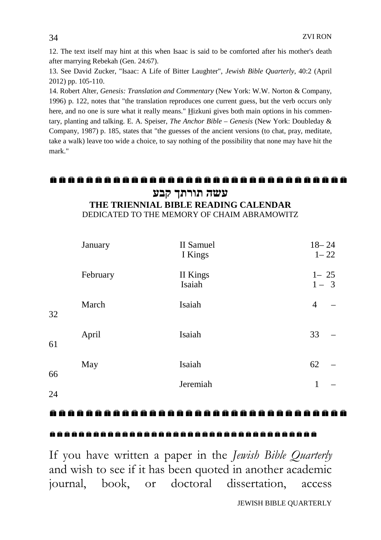12. The text itself may hint at this when Isaac is said to be comforted after his mother's death after marrying Rebekah (Gen. 24:67).

13. See David Zucker, "Isaac: A Life of Bitter Laughter", *Jewish Bible Quarterly*, 40:2 (April 2012) pp. 105-110.

14. Robert Alter, *Genesis: Translation and Commentary* (New York: W.W. Norton & Company, 1996) p. 122, notes that "the translation reproduces one current guess, but the verb occurs only here, and no one is sure what it really means." Hizkuni gives both main options in his commentary, planting and talking. E. A. Speiser, *The Anchor Bible – Genesis* (New York: Doubleday & Company, 1987) p. 185, states that "the guesses of the ancient versions (to chat, pray, meditate, take a walk) leave too wide a choice, to say nothing of the possibility that none may have hit the mark."

## **עשה תורתך קבע**

**THE TRIENNIAL BIBLE READING CALENDAR** DEDICATED TO THE MEMORY OF CHAIM ABRAMOWITZ

|    | January  | II Samuel<br>I Kings | $18 - 24$           | $1 - 22$ |
|----|----------|----------------------|---------------------|----------|
|    | February | II Kings<br>Isaiah   | $1 - 25$<br>$1 - 3$ |          |
| 32 | March    | Isaiah               | $\overline{4}$      |          |
| 61 | April    | Isaiah               | 33                  |          |
| 66 | May      | Isaiah               | 62                  |          |
| 24 |          | Jeremiah             | 1                   |          |

### ..................................

## 

If you have written a paper in the *Jewish Bible Quarterly*  and wish to see if it has been quoted in another academic journal, book, or doctoral dissertation, access

JEWISH BIBLE QUARTERLY